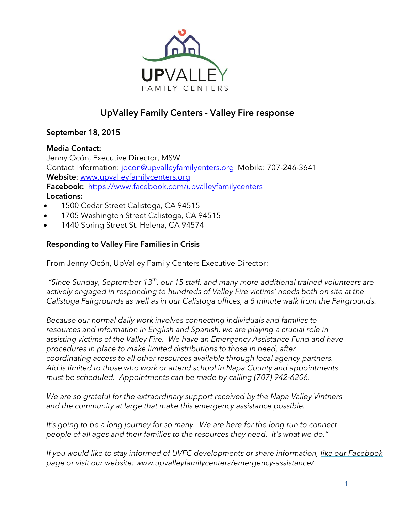

# **UpValley Family Centers - Valley Fire response**

# **September 18, 2015**

## **Media Contact:**

Jenny Ocón, Executive Director, MSW Contact Information: [jocon@upvalleyfamilyenters.org](mailto:jocon@upvalleyfamilyenters.org) Mobile: 707-246-3641 **Website**: [www.upvalleyfamilycenters.org](http://www.upvalleyfamilycenters.org/) **Facebook:** <https://www.facebook.com/upvalleyfamilycenters> **Locations:**

- 1500 Cedar Street Calistoga, CA 94515
- 1705 Washington Street Calistoga, CA 94515
- 1440 Spring Street St. Helena, CA 94574

# **Responding to Valley Fire Families in Crisis**

From Jenny Ocón, UpValley Family Centers Executive Director:

*"Since Sunday, September 13th , our 15 staff, and many more additional trained volunteers are actively engaged in responding to hundreds of Valley Fire victims' needs both on site at the Calistoga Fairgrounds as well as in our Calistoga offices, a 5 minute walk from the Fairgrounds.* 

*Because our normal daily work involves connecting individuals and families to resources and information in English and Spanish, we are playing a crucial role in assisting victims of the Valley Fire. We have an Emergency Assistance Fund and have procedures in place to make limited distributions to those in need, after coordinating access to all other resources available through local agency partners. Aid is limited to those who work or attend school in Napa County and appointments must be scheduled. Appointments can be made by calling (707) 942-6206.*

*We are so grateful for the extraordinary support received by the Napa Valley Vintners and the community at large that make this emergency assistance possible.*

*It's going to be a long journey for so many. We are here for the long run to connect people of all ages and their families to the resources they need. It's what we do."* 

\_\_\_\_\_\_\_\_\_\_\_\_\_\_\_\_\_\_\_\_\_\_\_\_\_\_\_\_\_\_\_\_\_\_\_\_\_\_\_\_\_\_\_\_\_\_\_\_\_\_\_\_\_\_ *If you would like to stay informed of UVFC developments or share information, [like our Facebook](http://upvalleyfamilycenters.us1.list-manage.com/track/click?u=4edb7bc9b17ec8f0c0fd9ff0d&id=43c2a8f022&e=b8d0cf19ba)  [page](http://upvalleyfamilycenters.us1.list-manage.com/track/click?u=4edb7bc9b17ec8f0c0fd9ff0d&id=43c2a8f022&e=b8d0cf19ba) or visit our website: www.upvalleyfamilycenters/emergency-assistance/*.